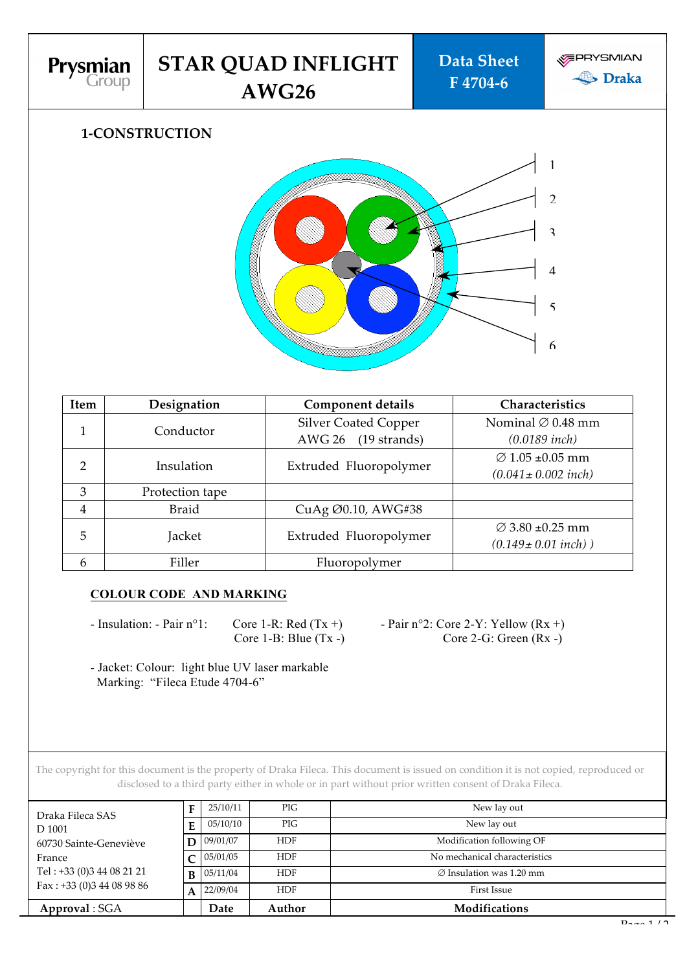

## **1-CONSTRUCTION**



| Item           | Designation     | <b>Component details</b>                | Characteristics               |  |
|----------------|-----------------|-----------------------------------------|-------------------------------|--|
|                | Conductor       | <b>Silver Coated Copper</b>             | Nominal $\varnothing$ 0.48 mm |  |
|                |                 | <b>AWG 26</b><br>$(19 \text{ strands})$ | $(0.0189$ inch)               |  |
| $\overline{2}$ | Insulation      | Extruded Fluoropolymer                  | $\varnothing$ 1.05 ±0.05 mm   |  |
|                |                 |                                         | $(0.041 \pm 0.002$ inch)      |  |
| 3              | Protection tape |                                         |                               |  |
| $\overline{4}$ | <b>Braid</b>    | CuAg Ø0.10, AWG#38                      |                               |  |
| 5              | Jacket          |                                         | $\varnothing$ 3.80 ±0.25 mm   |  |
|                |                 | Extruded Fluoropolymer                  | $(0.149 \pm 0.01$ inch))      |  |
| 6              | Filler          | Fluoropolymer                           |                               |  |

#### **COLOUR CODE AND MARKING**

- Insulation: - Pair  $n^{\circ}$ 1: Core 1-R: Red (Tx +) - Pair  $n^{\circ}$ 2: Core 2-Y: Yellow (Rx +)

Core  $1-B$ : Blue  $(Tx -)$  Core  $2-G$ : Green  $(Rx -)$ 

- Jacket: Colour: light blue UV laser markable Marking: "Fileca Etude 4704-6"

The copyright for this document is the property of Draka Fileca. This document is issued on condition it is not copied, reproduced or disclosed to a third party either in whole or in part without prior written consent of Draka Fileca.

| Approval: SGA               |                | Date     | Author     | Modifications                        |
|-----------------------------|----------------|----------|------------|--------------------------------------|
| Fax: $+33$ (0)3 44 08 98 86 |                | 22/09/04 | <b>HDF</b> | First Issue                          |
| Tel: +33 (0)3 44 08 21 21   | B <sub>1</sub> | 05/11/04 | <b>HDF</b> | $\varnothing$ Insulation was 1.20 mm |
| France                      |                | 05/01/05 | <b>HDF</b> | No mechanical characteristics        |
| 60730 Sainte-Geneviève      | $\mathbf{D}$   | 09/01/07 | <b>HDF</b> | Modification following OF            |
| D 1001                      | Е              | 05/10/10 | PIG        | New lay out                          |
| Draka Fileca SAS            |                | 25/10/11 | PIG        | New lay out                          |
|                             |                |          |            |                                      |